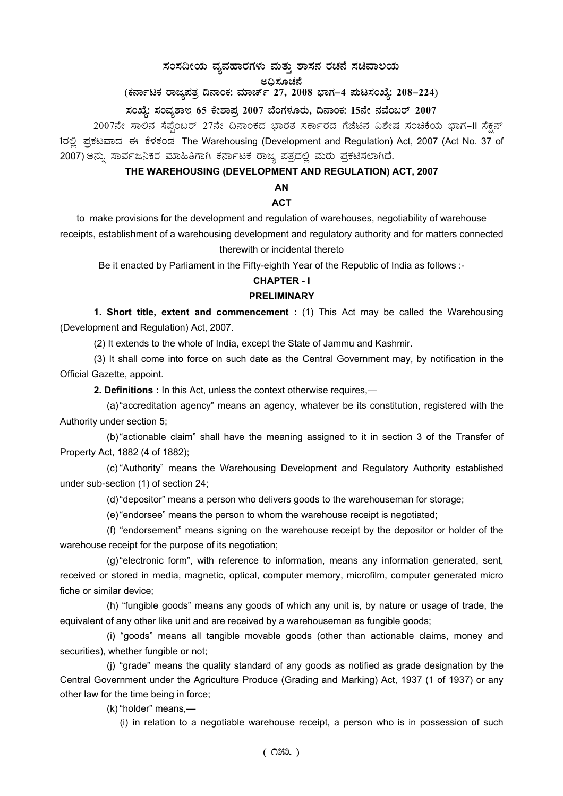# $\bm{\lambda}$ ನಂಸದೀಯ ವ್ಯವಹಾರಗಳು ಮತ್ತು ಶಾಸನ ರಚನೆ ಸಚಿವಾಲಯ

ಅಧಿಸೂಚನೆ<br>.

(ಕರ್ನಾಟಕ ರಾಜ್ಯಪತ್ರ ದಿನಾಂಕ: ಮಾರ್ಚ್ 27, 2008 ಭಾಗ–4 **ಪುಟಸಂಖ್ಯೆ: 208–224)** 

# **¸ÀASÉå: ¸ÀAªÀå±ÁE 65 PÉñÁ¥Àæ 2007 ¨ÉAUÀ¼ÀÆgÀÄ, ¢£ÁAPÀ: 15£Éà £ÀªÉA§gï 2007**

2007ನೇ ಸಾಲಿನ ಸೆಪ್ಪೆಂಬರ್ 27ನೇ ದಿನಾಂಕದ ಭಾರತ ಸರ್ಕಾರದ ಗೆಜೆಟಿನ ವಿಶೇಷ ಸಂಚಿಕೆಯ ಭಾಗ-II ಸೆಕ್ಷನ್ 1ರಲ್ಲಿ ಪ್ರಕಟವಾದ ಈ ಕೆಳಕಂಡ The Warehousing (Development and Regulation) Act, 2007 (Act No. 37 of 2007) ಅನ್ನು ಸಾರ್ವಜನಿಕರ ಮಾಹಿತಿಗಾಗಿ ಕರ್ನಾಟಕ ರಾಜ್ಯ ಪತ್ರದಲ್ಲಿ ಮರು ಪ್ರಕಟಿಸಲಾಗಿದೆ.

# **THE WAREHOUSING (DEVELOPMENT AND REGULATION) ACT, 2007**

### **AN**

#### **ACT**

to make provisions for the development and regulation of warehouses, negotiability of warehouse receipts, establishment of a warehousing development and regulatory authority and for matters connected therewith or incidental thereto

Be it enacted by Parliament in the Fifty-eighth Year of the Republic of India as follows :-

# **CHAPTER - I**

#### **PRELIMINARY**

**1. Short title, extent and commencement :** (1) This Act may be called the Warehousing (Development and Regulation) Act, 2007.

(2) It extends to the whole of India, except the State of Jammu and Kashmir.

(3) It shall come into force on such date as the Central Government may, by notification in the Official Gazette, appoint.

**2. Definitions :** In this Act, unless the context otherwise requires,—

(a) "accreditation agency" means an agency, whatever be its constitution, registered with the Authority under section 5;

(b) "actionable claim" shall have the meaning assigned to it in section 3 of the Transfer of Property Act, 1882 (4 of 1882);

(c) "Authority" means the Warehousing Development and Regulatory Authority established under sub-section (1) of section 24;

(d) "depositor" means a person who delivers goods to the warehouseman for storage;

(e) "endorsee" means the person to whom the warehouse receipt is negotiated;

(f) "endorsement" means signing on the warehouse receipt by the depositor or holder of the warehouse receipt for the purpose of its negotiation;

(g) "electronic form", with reference to information, means any information generated, sent, received or stored in media, magnetic, optical, computer memory, microfilm, computer generated micro fiche or similar device;

(h) "fungible goods" means any goods of which any unit is, by nature or usage of trade, the equivalent of any other like unit and are received by a warehouseman as fungible goods;

(i) "goods" means all tangible movable goods (other than actionable claims, money and securities), whether fungible or not;

(j) "grade" means the quality standard of any goods as notified as grade designation by the Central Government under the Agriculture Produce (Grading and Marking) Act, 1937 (1 of 1937) or any other law for the time being in force;

(k) "holder" means,—

(i) in relation to a negotiable warehouse receipt, a person who is in possession of such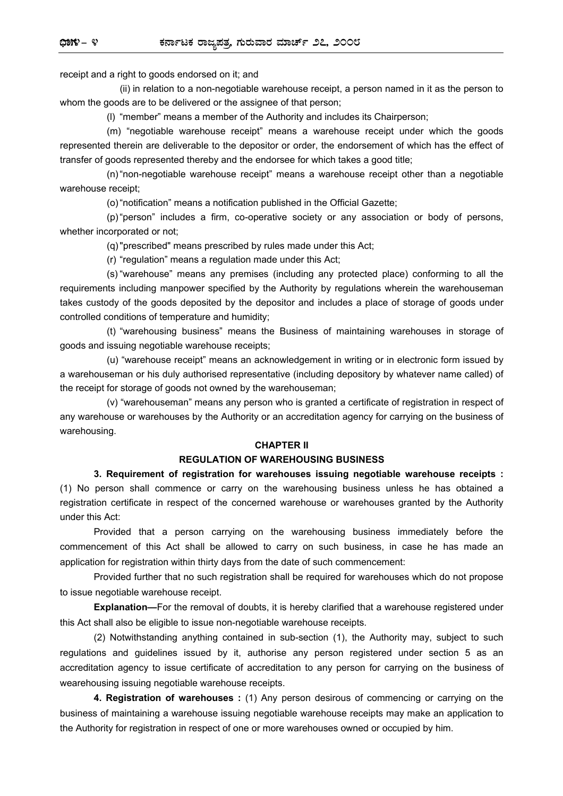receipt and a right to goods endorsed on it; and

 (ii) in relation to a non-negotiable warehouse receipt, a person named in it as the person to whom the goods are to be delivered or the assignee of that person;

(l) "member" means a member of the Authority and includes its Chairperson;

(m) "negotiable warehouse receipt" means a warehouse receipt under which the goods represented therein are deliverable to the depositor or order, the endorsement of which has the effect of transfer of goods represented thereby and the endorsee for which takes a good title;

(n) "non-negotiable warehouse receipt" means a warehouse receipt other than a negotiable warehouse receipt;

(o) "notification" means a notification published in the Official Gazette;

(p) "person" includes a firm, co-operative society or any association or body of persons, whether incorporated or not;

(q) "prescribed" means prescribed by rules made under this Act;

(r) "regulation" means a regulation made under this Act;

(s) "warehouse" means any premises (including any protected place) conforming to all the requirements including manpower specified by the Authority by regulations wherein the warehouseman takes custody of the goods deposited by the depositor and includes a place of storage of goods under controlled conditions of temperature and humidity;

(t) "warehousing business" means the Business of maintaining warehouses in storage of goods and issuing negotiable warehouse receipts;

(u) "warehouse receipt" means an acknowledgement in writing or in electronic form issued by a warehouseman or his duly authorised representative (including depository by whatever name called) of the receipt for storage of goods not owned by the warehouseman;

(v) "warehouseman" means any person who is granted a certificate of registration in respect of any warehouse or warehouses by the Authority or an accreditation agency for carrying on the business of warehousing.

#### **CHAPTER II**

#### **REGULATION OF WAREHOUSING BUSINESS**

**3. Requirement of registration for warehouses issuing negotiable warehouse receipts :** (1) No person shall commence or carry on the warehousing business unless he has obtained a registration certificate in respect of the concerned warehouse or warehouses granted by the Authority under this Act:

Provided that a person carrying on the warehousing business immediately before the commencement of this Act shall be allowed to carry on such business, in case he has made an application for registration within thirty days from the date of such commencement:

Provided further that no such registration shall be required for warehouses which do not propose to issue negotiable warehouse receipt.

**Explanation—**For the removal of doubts, it is hereby clarified that a warehouse registered under this Act shall also be eligible to issue non-negotiable warehouse receipts.

(2) Notwithstanding anything contained in sub-section (1), the Authority may, subject to such regulations and guidelines issued by it, authorise any person registered under section 5 as an accreditation agency to issue certificate of accreditation to any person for carrying on the business of wearehousing issuing negotiable warehouse receipts.

**4. Registration of warehouses :** (1) Any person desirous of commencing or carrying on the business of maintaining a warehouse issuing negotiable warehouse receipts may make an application to the Authority for registration in respect of one or more warehouses owned or occupied by him.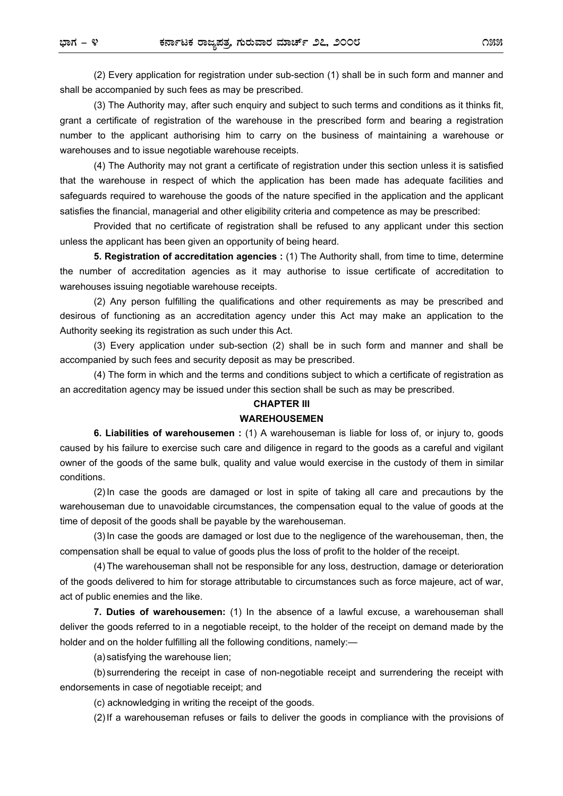(2) Every application for registration under sub-section (1) shall be in such form and manner and shall be accompanied by such fees as may be prescribed.

(3) The Authority may, after such enquiry and subject to such terms and conditions as it thinks fit, grant a certificate of registration of the warehouse in the prescribed form and bearing a registration number to the applicant authorising him to carry on the business of maintaining a warehouse or warehouses and to issue negotiable warehouse receipts.

(4) The Authority may not grant a certificate of registration under this section unless it is satisfied that the warehouse in respect of which the application has been made has adequate facilities and safeguards required to warehouse the goods of the nature specified in the application and the applicant satisfies the financial, managerial and other eligibility criteria and competence as may be prescribed:

Provided that no certificate of registration shall be refused to any applicant under this section unless the applicant has been given an opportunity of being heard.

**5. Registration of accreditation agencies :** (1) The Authority shall, from time to time, determine the number of accreditation agencies as it may authorise to issue certificate of accreditation to warehouses issuing negotiable warehouse receipts.

(2) Any person fulfilling the qualifications and other requirements as may be prescribed and desirous of functioning as an accreditation agency under this Act may make an application to the Authority seeking its registration as such under this Act.

(3) Every application under sub-section (2) shall be in such form and manner and shall be accompanied by such fees and security deposit as may be prescribed.

(4) The form in which and the terms and conditions subject to which a certificate of registration as an accreditation agency may be issued under this section shall be such as may be prescribed.

# **CHAPTER III**

# **WAREHOUSEMEN**

**6. Liabilities of warehousemen :** (1) A warehouseman is liable for loss of, or injury to, goods caused by his failure to exercise such care and diligence in regard to the goods as a careful and vigilant owner of the goods of the same bulk, quality and value would exercise in the custody of them in similar conditions.

(2) In case the goods are damaged or lost in spite of taking all care and precautions by the warehouseman due to unavoidable circumstances, the compensation equal to the value of goods at the time of deposit of the goods shall be payable by the warehouseman.

(3) In case the goods are damaged or lost due to the negligence of the warehouseman, then, the compensation shall be equal to value of goods plus the loss of profit to the holder of the receipt.

(4) The warehouseman shall not be responsible for any loss, destruction, damage or deterioration of the goods delivered to him for storage attributable to circumstances such as force majeure, act of war, act of public enemies and the like.

**7. Duties of warehousemen:** (1) In the absence of a lawful excuse, a warehouseman shall deliver the goods referred to in a negotiable receipt, to the holder of the receipt on demand made by the holder and on the holder fulfilling all the following conditions, namely:—

(a) satisfying the warehouse lien;

(b) surrendering the receipt in case of non-negotiable receipt and surrendering the receipt with endorsements in case of negotiable receipt; and

(c) acknowledging in writing the receipt of the goods.

(2) If a warehouseman refuses or fails to deliver the goods in compliance with the provisions of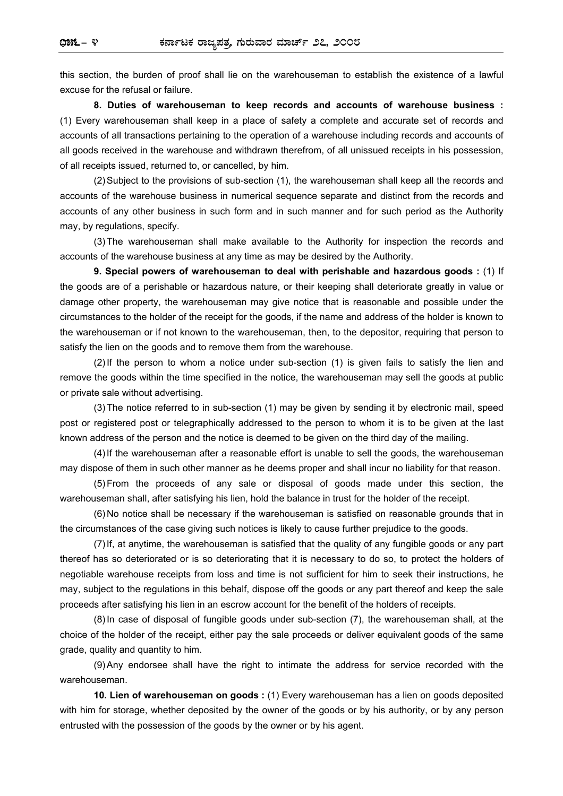this section, the burden of proof shall lie on the warehouseman to establish the existence of a lawful excuse for the refusal or failure.

 **8. Duties of warehouseman to keep records and accounts of warehouse business :**  (1) Every warehouseman shall keep in a place of safety a complete and accurate set of records and accounts of all transactions pertaining to the operation of a warehouse including records and accounts of all goods received in the warehouse and withdrawn therefrom, of all unissued receipts in his possession, of all receipts issued, returned to, or cancelled, by him.

(2) Subject to the provisions of sub-section (1), the warehouseman shall keep all the records and accounts of the warehouse business in numerical sequence separate and distinct from the records and accounts of any other business in such form and in such manner and for such period as the Authority may, by regulations, specify.

(3) The warehouseman shall make available to the Authority for inspection the records and accounts of the warehouse business at any time as may be desired by the Authority.

 **9. Special powers of warehouseman to deal with perishable and hazardous goods :** (1) If the goods are of a perishable or hazardous nature, or their keeping shall deteriorate greatly in value or damage other property, the warehouseman may give notice that is reasonable and possible under the circumstances to the holder of the receipt for the goods, if the name and address of the holder is known to the warehouseman or if not known to the warehouseman, then, to the depositor, requiring that person to satisfy the lien on the goods and to remove them from the warehouse.

(2) If the person to whom a notice under sub-section (1) is given fails to satisfy the lien and remove the goods within the time specified in the notice, the warehouseman may sell the goods at public or private sale without advertising.

(3) The notice referred to in sub-section (1) may be given by sending it by electronic mail, speed post or registered post or telegraphically addressed to the person to whom it is to be given at the last known address of the person and the notice is deemed to be given on the third day of the mailing.

(4) If the warehouseman after a reasonable effort is unable to sell the goods, the warehouseman may dispose of them in such other manner as he deems proper and shall incur no liability for that reason.

(5) From the proceeds of any sale or disposal of goods made under this section, the warehouseman shall, after satisfying his lien, hold the balance in trust for the holder of the receipt.

(6) No notice shall be necessary if the warehouseman is satisfied on reasonable grounds that in the circumstances of the case giving such notices is likely to cause further prejudice to the goods.

(7) If, at anytime, the warehouseman is satisfied that the quality of any fungible goods or any part thereof has so deteriorated or is so deteriorating that it is necessary to do so, to protect the holders of negotiable warehouse receipts from loss and time is not sufficient for him to seek their instructions, he may, subject to the regulations in this behalf, dispose off the goods or any part thereof and keep the sale proceeds after satisfying his lien in an escrow account for the benefit of the holders of receipts.

(8) In case of disposal of fungible goods under sub-section (7), the warehouseman shall, at the choice of the holder of the receipt, either pay the sale proceeds or deliver equivalent goods of the same grade, quality and quantity to him.

(9) Any endorsee shall have the right to intimate the address for service recorded with the warehouseman.

**10. Lien of warehouseman on goods :** (1) Every warehouseman has a lien on goods deposited with him for storage, whether deposited by the owner of the goods or by his authority, or by any person entrusted with the possession of the goods by the owner or by his agent.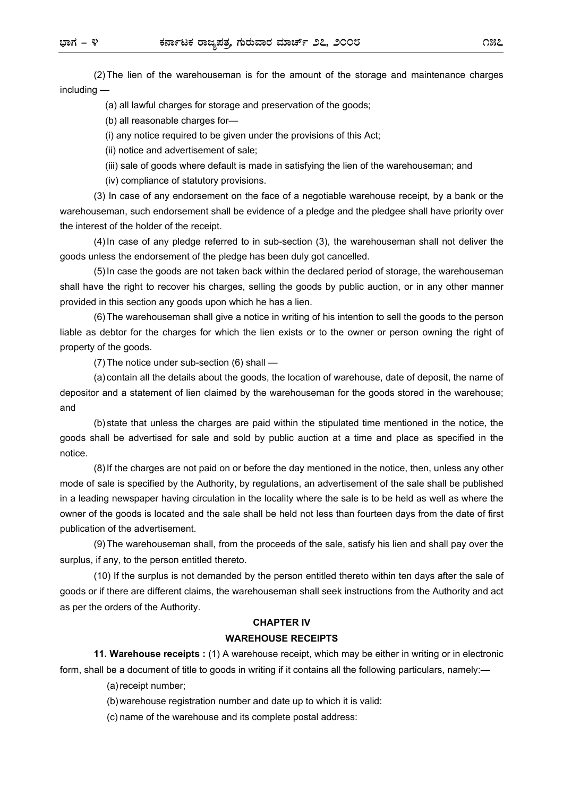(2) The lien of the warehouseman is for the amount of the storage and maintenance charges including —

(a) all lawful charges for storage and preservation of the goods;

(b) all reasonable charges for-

(i) any notice required to be given under the provisions of this Act;

(ii) notice and advertisement of sale;

(iii) sale of goods where default is made in satisfying the lien of the warehouseman; and

(iv) compliance of statutory provisions.

(3) In case of any endorsement on the face of a negotiable warehouse receipt, by a bank or the warehouseman, such endorsement shall be evidence of a pledge and the pledgee shall have priority over the interest of the holder of the receipt.

(4) In case of any pledge referred to in sub-section (3), the warehouseman shall not deliver the goods unless the endorsement of the pledge has been duly got cancelled.

(5) In case the goods are not taken back within the declared period of storage, the warehouseman shall have the right to recover his charges, selling the goods by public auction, or in any other manner provided in this section any goods upon which he has a lien.

(6) The warehouseman shall give a notice in writing of his intention to sell the goods to the person liable as debtor for the charges for which the lien exists or to the owner or person owning the right of property of the goods.

(7) The notice under sub-section (6) shall —

(a) contain all the details about the goods, the location of warehouse, date of deposit, the name of depositor and a statement of lien claimed by the warehouseman for the goods stored in the warehouse; and

(b) state that unless the charges are paid within the stipulated time mentioned in the notice, the goods shall be advertised for sale and sold by public auction at a time and place as specified in the notice.

(8) If the charges are not paid on or before the day mentioned in the notice, then, unless any other mode of sale is specified by the Authority, by regulations, an advertisement of the sale shall be published in a leading newspaper having circulation in the locality where the sale is to be held as well as where the owner of the goods is located and the sale shall be held not less than fourteen days from the date of first publication of the advertisement.

(9) The warehouseman shall, from the proceeds of the sale, satisfy his lien and shall pay over the surplus, if any, to the person entitled thereto.

(10) If the surplus is not demanded by the person entitled thereto within ten days after the sale of goods or if there are different claims, the warehouseman shall seek instructions from the Authority and act as per the orders of the Authority.

#### **CHAPTER IV WAREHOUSE RECEIPTS**

**11. Warehouse receipts :** (1) A warehouse receipt, which may be either in writing or in electronic form, shall be a document of title to goods in writing if it contains all the following particulars, namely:—

(a) receipt number;

(b) warehouse registration number and date up to which it is valid:

(c) name of the warehouse and its complete postal address: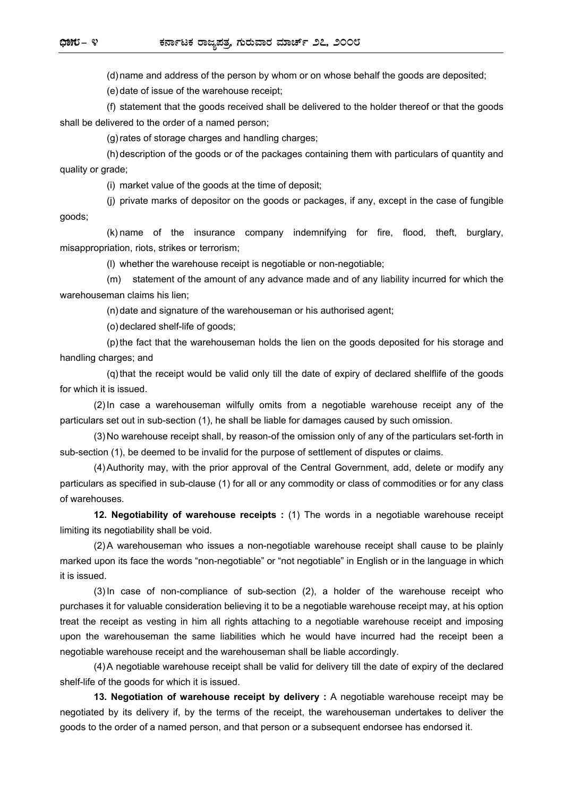(d) name and address of the person by whom or on whose behalf the goods are deposited;

(e) date of issue of the warehouse receipt;

(f) statement that the goods received shall be delivered to the holder thereof or that the goods shall be delivered to the order of a named person;

(g) rates of storage charges and handling charges;

(h) description of the goods or of the packages containing them with particulars of quantity and quality or grade;

(i) market value of the goods at the time of deposit;

(j) private marks of depositor on the goods or packages, if any, except in the case of fungible goods;

(k) name of the insurance company indemnifying for fire, flood, theft, burglary, misappropriation, riots, strikes or terrorism;

(l) whether the warehouse receipt is negotiable or non-negotiable;

(m) statement of the amount of any advance made and of any liability incurred for which the warehouseman claims his lien;

(n) date and signature of the warehouseman or his authorised agent;

(o) declared shelf-life of goods;

(p) the fact that the warehouseman holds the lien on the goods deposited for his storage and handling charges; and

(q) that the receipt would be valid only till the date of expiry of declared shelflife of the goods for which it is issued.

(2) In case a warehouseman wilfully omits from a negotiable warehouse receipt any of the particulars set out in sub-section (1), he shall be liable for damages caused by such omission.

(3) No warehouse receipt shall, by reason-of the omission only of any of the particulars set-forth in sub-section (1), be deemed to be invalid for the purpose of settlement of disputes or claims.

(4) Authority may, with the prior approval of the Central Government, add, delete or modify any particulars as specified in sub-clause (1) for all or any commodity or class of commodities or for any class of warehouses.

**12. Negotiability of warehouse receipts :** (1) The words in a negotiable warehouse receipt limiting its negotiability shall be void.

(2) A warehouseman who issues a non-negotiable warehouse receipt shall cause to be plainly marked upon its face the words "non-negotiable" or "not negotiable" in English or in the language in which it is issued.

(3) In case of non-compliance of sub-section (2), a holder of the warehouse receipt who purchases it for valuable consideration believing it to be a negotiable warehouse receipt may, at his option treat the receipt as vesting in him all rights attaching to a negotiable warehouse receipt and imposing upon the warehouseman the same liabilities which he would have incurred had the receipt been a negotiable warehouse receipt and the warehouseman shall be liable accordingly.

(4) A negotiable warehouse receipt shall be valid for delivery till the date of expiry of the declared shelf-life of the goods for which it is issued.

**13. Negotiation of warehouse receipt by delivery :** A negotiable warehouse receipt may be negotiated by its delivery if, by the terms of the receipt, the warehouseman undertakes to deliver the goods to the order of a named person, and that person or a subsequent endorsee has endorsed it.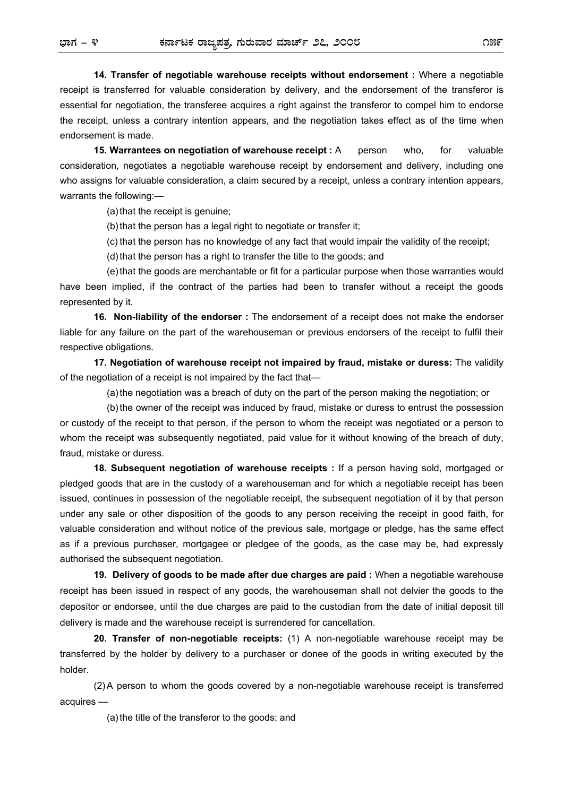**14. Transfer of negotiable warehouse receipts without endorsement :** Where a negotiable receipt is transferred for valuable consideration by delivery, and the endorsement of the transferor is essential for negotiation, the transferee acquires a right against the transferor to compel him to endorse the receipt, unless a contrary intention appears, and the negotiation takes effect as of the time when endorsement is made.

**15. Warrantees on negotiation of warehouse receipt :** A person who, for valuable consideration, negotiates a negotiable warehouse receipt by endorsement and delivery, including one who assigns for valuable consideration, a claim secured by a receipt, unless a contrary intention appears, warrants the following:—

(a) that the receipt is genuine;

(b) that the person has a legal right to negotiate or transfer it;

(c) that the person has no knowledge of any fact that would impair the validity of the receipt;

(d) that the person has a right to transfer the title to the goods; and

(e) that the goods are merchantable or fit for a particular purpose when those warranties would have been implied, if the contract of the parties had been to transfer without a receipt the goods represented by it.

**16. Non-liability of the endorser :** The endorsement of a receipt does not make the endorser liable for any failure on the part of the warehouseman or previous endorsers of the receipt to fulfil their respective obligations.

**17. Negotiation of warehouse receipt not impaired by fraud, mistake or duress:** The validity of the negotiation of a receipt is not impaired by the fact that—

(a) the negotiation was a breach of duty on the part of the person making the negotiation; or

(b) the owner of the receipt was induced by fraud, mistake or duress to entrust the possession or custody of the receipt to that person, if the person to whom the receipt was negotiated or a person to whom the receipt was subsequently negotiated, paid value for it without knowing of the breach of duty, fraud, mistake or duress.

**18. Subsequent negotiation of warehouse receipts :** If a person having sold, mortgaged or pledged goods that are in the custody of a warehouseman and for which a negotiable receipt has been issued, continues in possession of the negotiable receipt, the subsequent negotiation of it by that person under any sale or other disposition of the goods to any person receiving the receipt in good faith, for valuable consideration and without notice of the previous sale, mortgage or pledge, has the same effect as if a previous purchaser, mortgagee or pledgee of the goods, as the case may be, had expressly authorised the subsequent negotiation.

**19. Delivery of goods to be made after due charges are paid :** When a negotiable warehouse receipt has been issued in respect of any goods, the warehouseman shall not delvier the goods to the depositor or endorsee, until the due charges are paid to the custodian from the date of initial deposit till delivery is made and the warehouse receipt is surrendered for cancellation.

**20. Transfer of non-negotiable receipts:** (1) A non-negotiable warehouse receipt may be transferred by the holder by delivery to a purchaser or donee of the goods in writing executed by the holder.

(2) A person to whom the goods covered by a non-negotiable warehouse receipt is transferred acquires —

(a) the title of the transferor to the goods; and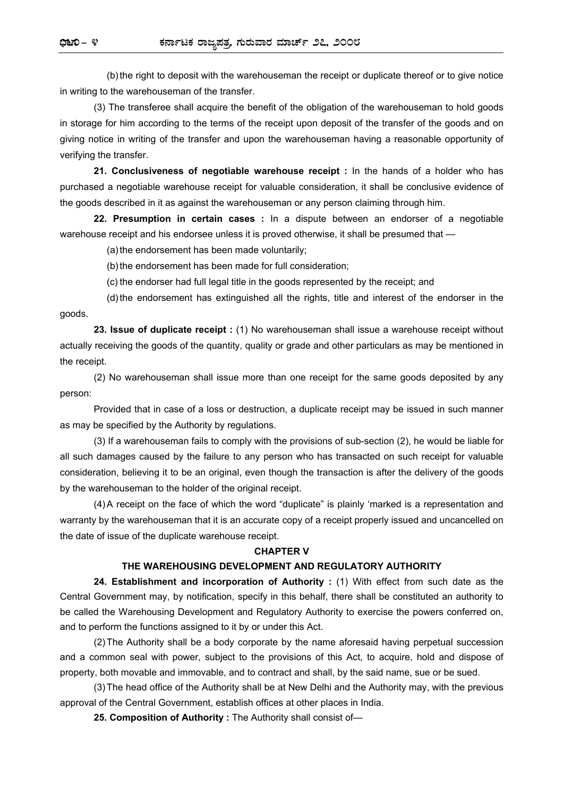(b) the right to deposit with the warehouseman the receipt or duplicate thereof or to give notice in writing to the warehouseman of the transfer.

(3) The transferee shall acquire the benefit of the obligation of the warehouseman to hold goods in storage for him according to the terms of the receipt upon deposit of the transfer of the goods and on giving notice in writing of the transfer and upon the warehouseman having a reasonable opportunity of verifying the transfer.

**21. Conclusiveness of negotiable warehouse receipt :** In the hands of a holder who has purchased a negotiable warehouse receipt for valuable consideration, it shall be conclusive evidence of the goods described in it as against the warehouseman or any person claiming through him.

**22. Presumption in certain cases :** In a dispute between an endorser of a negotiable warehouse receipt and his endorsee unless it is proved otherwise, it shall be presumed that -

(a) the endorsement has been made voluntarily;

(b) the endorsement has been made for full consideration;

(c) the endorser had full legal title in the goods represented by the receipt; and

(d) the endorsement has extinguished all the rights, title and interest of the endorser in the goods.

**23. Issue of duplicate receipt :** (1) No warehouseman shall issue a warehouse receipt without actually receiving the goods of the quantity, quality or grade and other particulars as may be mentioned in the receipt.

(2) No warehouseman shall issue more than one receipt for the same goods deposited by any person:

Provided that in case of a loss or destruction, a duplicate receipt may be issued in such manner as may be specified by the Authority by regulations.

(3) If a warehouseman fails to comply with the provisions of sub-section (2), he would be liable for all such damages caused by the failure to any person who has transacted on such receipt for valuable consideration, believing it to be an original, even though the transaction is after the delivery of the goods by the warehouseman to the holder of the original receipt.

(4) A receipt on the face of which the word "duplicate" is plainly 'marked is a representation and warranty by the warehouseman that it is an accurate copy of a receipt properly issued and uncancelled on the date of issue of the duplicate warehouse receipt.

#### **CHAPTER V**

#### **THE WAREHOUSING DEVELOPMENT AND REGULATORY AUTHORITY**

**24. Establishment and incorporation of Authority :** (1) With effect from such date as the Central Government may, by notification, specify in this behalf, there shall be constituted an authority to be called the Warehousing Development and Regulatory Authority to exercise the powers conferred on, and to perform the functions assigned to it by or under this Act.

(2) The Authority shall be a body corporate by the name aforesaid having perpetual succession and a common seal with power, subject to the provisions of this Act, to acquire, hold and dispose of property, both movable and immovable, and to contract and shall, by the said name, sue or be sued.

(3) The head office of the Authority shall be at New Delhi and the Authority may, with the previous approval of the Central Government, establish offices at other places in India.

**25. Composition of Authority :** The Authority shall consist of—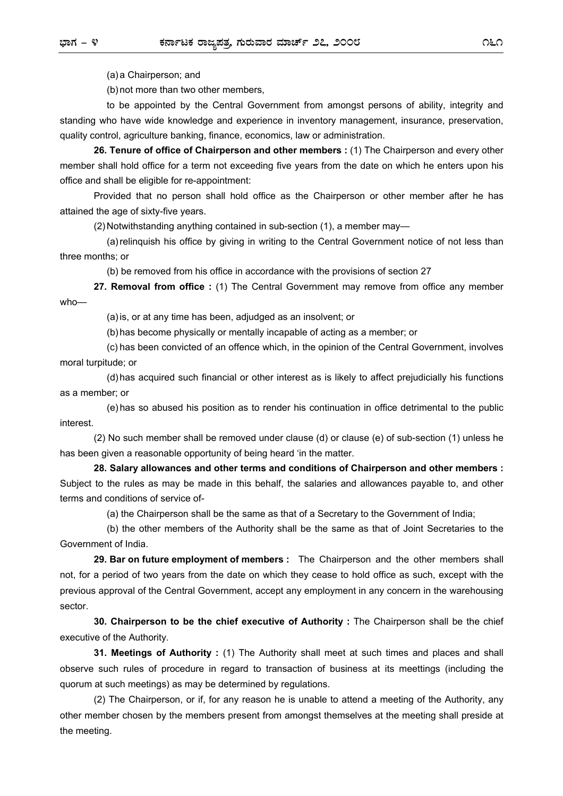(a) a Chairperson; and

(b) not more than two other members,

to be appointed by the Central Government from amongst persons of ability, integrity and standing who have wide knowledge and experience in inventory management, insurance, preservation, quality control, agriculture banking, finance, economics, law or administration.

**26. Tenure of office of Chairperson and other members :** (1) The Chairperson and every other member shall hold office for a term not exceeding five years from the date on which he enters upon his office and shall be eligible for re-appointment:

Provided that no person shall hold office as the Chairperson or other member after he has attained the age of sixty-five years.

(2) Notwithstanding anything contained in sub-section (1), a member may—

(a) relinquish his office by giving in writing to the Central Government notice of not less than three months; or

(b) be removed from his office in accordance with the provisions of section 27

**27. Removal from office :** (1) The Central Government may remove from office any member who—

(a) is, or at any time has been, adjudged as an insolvent; or

(b) has become physically or mentally incapable of acting as a member; or

(c) has been convicted of an offence which, in the opinion of the Central Government, involves moral turpitude; or

(d) has acquired such financial or other interest as is likely to affect prejudicially his functions as a member; or

(e) has so abused his position as to render his continuation in office detrimental to the public interest.

(2) No such member shall be removed under clause (d) or clause (e) of sub-section (1) unless he has been given a reasonable opportunity of being heard 'in the matter.

**28. Salary allowances and other terms and conditions of Chairperson and other members :**  Subject to the rules as may be made in this behalf, the salaries and allowances payable to, and other terms and conditions of service of-

(a) the Chairperson shall be the same as that of a Secretary to the Government of India;

(b) the other members of the Authority shall be the same as that of Joint Secretaries to the Government of India.

**29. Bar on future employment of members :** The Chairperson and the other members shall not, for a period of two years from the date on which they cease to hold office as such, except with the previous approval of the Central Government, accept any employment in any concern in the warehousing sector.

**30. Chairperson to be the chief executive of Authority :** The Chairperson shall be the chief executive of the Authority.

**31. Meetings of Authority :** (1) The Authority shall meet at such times and places and shall observe such rules of procedure in regard to transaction of business at its meettings (including the quorum at such meetings) as may be determined by regulations.

(2) The Chairperson, or if, for any reason he is unable to attend a meeting of the Authority, any other member chosen by the members present from amongst themselves at the meeting shall preside at the meeting.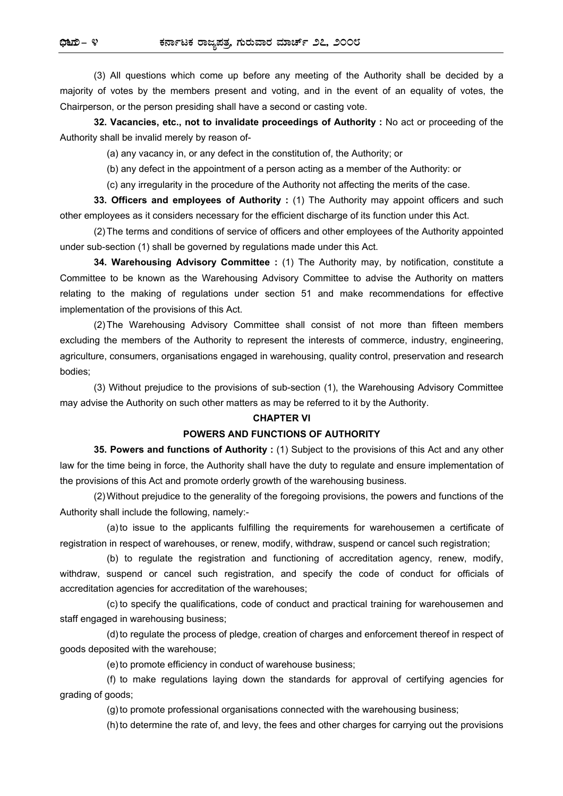(3) All questions which come up before any meeting of the Authority shall be decided by a majority of votes by the members present and voting, and in the event of an equality of votes, the Chairperson, or the person presiding shall have a second or casting vote.

**32. Vacancies, etc., not to invalidate proceedings of Authority :** No act or proceeding of the Authority shall be invalid merely by reason of-

(a) any vacancy in, or any defect in the constitution of, the Authority; or

(b) any defect in the appointment of a person acting as a member of the Authority: or

(c) any irregularity in the procedure of the Authority not affecting the merits of the case.

**33. Officers and employees of Authority :** (1) The Authority may appoint officers and such other employees as it considers necessary for the efficient discharge of its function under this Act.

(2) The terms and conditions of service of officers and other employees of the Authority appointed under sub-section (1) shall be governed by regulations made under this Act.

**34. Warehousing Advisory Committee :** (1) The Authority may, by notification, constitute a Committee to be known as the Warehousing Advisory Committee to advise the Authority on matters relating to the making of regulations under section 51 and make recommendations for effective implementation of the provisions of this Act.

(2) The Warehousing Advisory Committee shall consist of not more than fifteen members excluding the members of the Authority to represent the interests of commerce, industry, engineering, agriculture, consumers, organisations engaged in warehousing, quality control, preservation and research bodies;

(3) Without prejudice to the provisions of sub-section (1), the Warehousing Advisory Committee may advise the Authority on such other matters as may be referred to it by the Authority.

#### **CHAPTER VI**

#### **POWERS AND FUNCTIONS OF AUTHORITY**

**35. Powers and functions of Authority :** (1) Subject to the provisions of this Act and any other law for the time being in force, the Authority shall have the duty to regulate and ensure implementation of the provisions of this Act and promote orderly growth of the warehousing business.

(2) Without prejudice to the generality of the foregoing provisions, the powers and functions of the Authority shall include the following, namely:-

(a) to issue to the applicants fulfilling the requirements for warehousemen a certificate of registration in respect of warehouses, or renew, modify, withdraw, suspend or cancel such registration;

(b) to regulate the registration and functioning of accreditation agency, renew, modify, withdraw, suspend or cancel such registration, and specify the code of conduct for officials of accreditation agencies for accreditation of the warehouses;

(c) to specify the qualifications, code of conduct and practical training for warehousemen and staff engaged in warehousing business;

(d) to regulate the process of pledge, creation of charges and enforcement thereof in respect of goods deposited with the warehouse;

(e) to promote efficiency in conduct of warehouse business;

(f) to make regulations laying down the standards for approval of certifying agencies for grading of goods;

(g) to promote professional organisations connected with the warehousing business;

(h) to determine the rate of, and levy, the fees and other charges for carrying out the provisions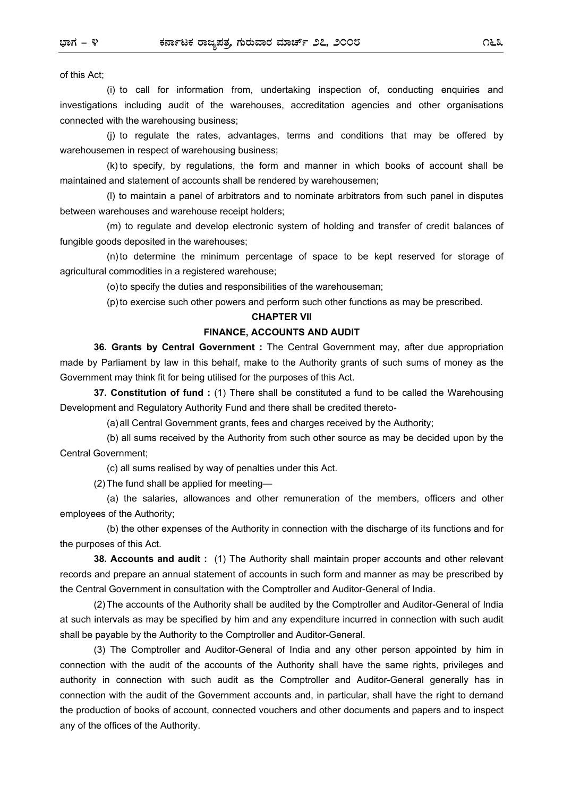of this Act;

(i) to call for information from, undertaking inspection of, conducting enquiries and investigations including audit of the warehouses, accreditation agencies and other organisations connected with the warehousing business;

(j) to regulate the rates, advantages, terms and conditions that may be offered by warehousemen in respect of warehousing business;

(k) to specify, by regulations, the form and manner in which books of account shall be maintained and statement of accounts shall be rendered by warehousemen;

(l) to maintain a panel of arbitrators and to nominate arbitrators from such panel in disputes between warehouses and warehouse receipt holders;

(m) to regulate and develop electronic system of holding and transfer of credit balances of fungible goods deposited in the warehouses;

(n) to determine the minimum percentage of space to be kept reserved for storage of agricultural commodities in a registered warehouse;

(o) to specify the duties and responsibilities of the warehouseman;

(p) to exercise such other powers and perform such other functions as may be prescribed.

#### **CHAPTER VII**

#### **FINANCE, ACCOUNTS AND AUDIT**

**36. Grants by Central Government :** The Central Government may, after due appropriation made by Parliament by law in this behalf, make to the Authority grants of such sums of money as the Government may think fit for being utilised for the purposes of this Act.

**37. Constitution of fund :** (1) There shall be constituted a fund to be called the Warehousing Development and Regulatory Authority Fund and there shall be credited thereto-

(a) all Central Government grants, fees and charges received by the Authority;

(b) all sums received by the Authority from such other source as may be decided upon by the Central Government;

(c) all sums realised by way of penalties under this Act.

(2) The fund shall be applied for meeting—

(a) the salaries, allowances and other remuneration of the members, officers and other employees of the Authority;

(b) the other expenses of the Authority in connection with the discharge of its functions and for the purposes of this Act.

**38. Accounts and audit :** (1) The Authority shall maintain proper accounts and other relevant records and prepare an annual statement of accounts in such form and manner as may be prescribed by the Central Government in consultation with the Comptroller and Auditor-General of India.

(2) The accounts of the Authority shall be audited by the Comptroller and Auditor-General of India at such intervals as may be specified by him and any expenditure incurred in connection with such audit shall be payable by the Authority to the Comptroller and Auditor-General.

(3) The Comptroller and Auditor-General of India and any other person appointed by him in connection with the audit of the accounts of the Authority shall have the same rights, privileges and authority in connection with such audit as the Comptroller and Auditor-General generally has in connection with the audit of the Government accounts and, in particular, shall have the right to demand the production of books of account, connected vouchers and other documents and papers and to inspect any of the offices of the Authority.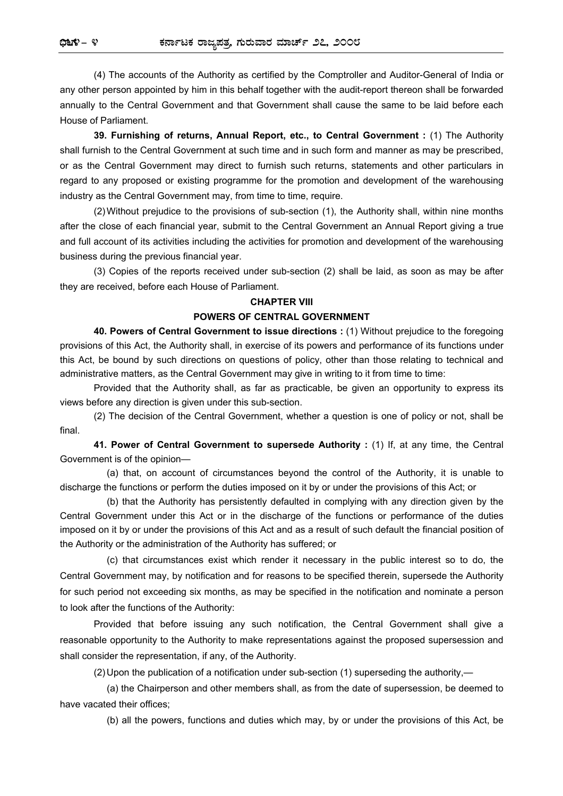(4) The accounts of the Authority as certified by the Comptroller and Auditor-General of India or any other person appointed by him in this behalf together with the audit-report thereon shall be forwarded annually to the Central Government and that Government shall cause the same to be laid before each House of Parliament.

**39. Furnishing of returns, Annual Report, etc., to Central Government :** (1) The Authority shall furnish to the Central Government at such time and in such form and manner as may be prescribed, or as the Central Government may direct to furnish such returns, statements and other particulars in regard to any proposed or existing programme for the promotion and development of the warehousing industry as the Central Government may, from time to time, require.

(2) Without prejudice to the provisions of sub-section (1), the Authority shall, within nine months after the close of each financial year, submit to the Central Government an Annual Report giving a true and full account of its activities including the activities for promotion and development of the warehousing business during the previous financial year.

(3) Copies of the reports received under sub-section (2) shall be laid, as soon as may be after they are received, before each House of Parliament.

#### **CHAPTER VIII**

#### **POWERS OF CENTRAL GOVERNMENT**

**40. Powers of Central Government to issue directions :** (1) Without prejudice to the foregoing provisions of this Act, the Authority shall, in exercise of its powers and performance of its functions under this Act, be bound by such directions on questions of policy, other than those relating to technical and administrative matters, as the Central Government may give in writing to it from time to time:

Provided that the Authority shall, as far as practicable, be given an opportunity to express its views before any direction is given under this sub-section.

(2) The decision of the Central Government, whether a question is one of policy or not, shall be final.

**41. Power of Central Government to supersede Authority :** (1) If, at any time, the Central Government is of the opinion—

(a) that, on account of circumstances beyond the control of the Authority, it is unable to discharge the functions or perform the duties imposed on it by or under the provisions of this Act; or

(b) that the Authority has persistently defaulted in complying with any direction given by the Central Government under this Act or in the discharge of the functions or performance of the duties imposed on it by or under the provisions of this Act and as a result of such default the financial position of the Authority or the administration of the Authority has suffered; or

(c) that circumstances exist which render it necessary in the public interest so to do, the Central Government may, by notification and for reasons to be specified therein, supersede the Authority for such period not exceeding six months, as may be specified in the notification and nominate a person to look after the functions of the Authority:

Provided that before issuing any such notification, the Central Government shall give a reasonable opportunity to the Authority to make representations against the proposed supersession and shall consider the representation, if any, of the Authority.

(2) Upon the publication of a notification under sub-section (1) superseding the authority,—

(a) the Chairperson and other members shall, as from the date of supersession, be deemed to have vacated their offices;

(b) all the powers, functions and duties which may, by or under the provisions of this Act, be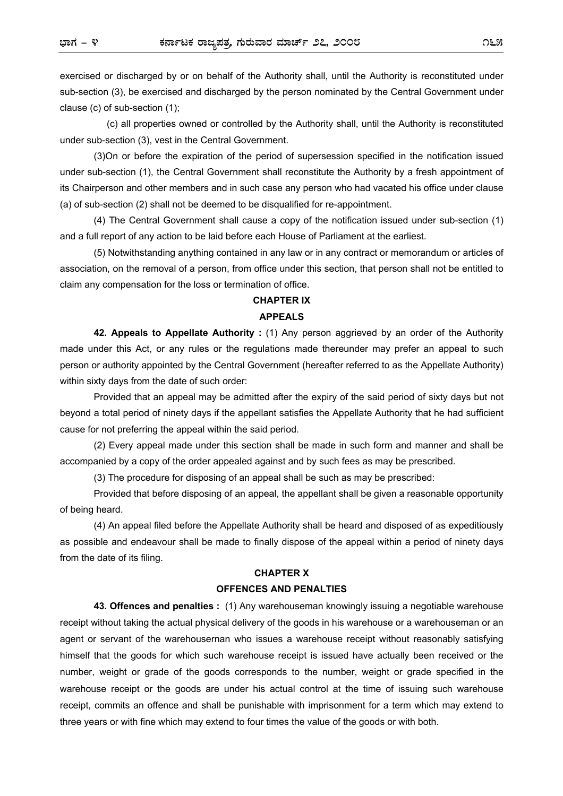exercised or discharged by or on behalf of the Authority shall, until the Authority is reconstituted under sub-section (3), be exercised and discharged by the person nominated by the Central Government under clause (c) of sub-section (1);

(c) all properties owned or controlled by the Authority shall, until the Authority is reconstituted under sub-section (3), vest in the Central Government.

(3)On or before the expiration of the period of supersession specified in the notification issued under sub-section (1), the Central Government shall reconstitute the Authority by a fresh appointment of its Chairperson and other members and in such case any person who had vacated his office under clause (a) of sub-section (2) shall not be deemed to be disqualified for re-appointment.

(4) The Central Government shall cause a copy of the notification issued under sub-section (1) and a full report of any action to be laid before each House of Parliament at the earliest.

(5) Notwithstanding anything contained in any law or in any contract or memorandum or articles of association, on the removal of a person, from office under this section, that person shall not be entitled to claim any compensation for the loss or termination of office.

## **CHAPTER IX APPEALS**

# **42. Appeals to Appellate Authority :** (1) Any person aggrieved by an order of the Authority made under this Act, or any rules or the regulations made thereunder may prefer an appeal to such person or authority appointed by the Central Government (hereafter referred to as the Appellate Authority) within sixty days from the date of such order:

Provided that an appeal may be admitted after the expiry of the said period of sixty days but not beyond a total period of ninety days if the appellant satisfies the Appellate Authority that he had sufficient cause for not preferring the appeal within the said period.

(2) Every appeal made under this section shall be made in such form and manner and shall be accompanied by a copy of the order appealed against and by such fees as may be prescribed.

(3) The procedure for disposing of an appeal shall be such as may be prescribed:

Provided that before disposing of an appeal, the appellant shall be given a reasonable opportunity of being heard.

(4) An appeal filed before the Appellate Authority shall be heard and disposed of as expeditiously as possible and endeavour shall be made to finally dispose of the appeal within a period of ninety days from the date of its filing.

#### **CHAPTER X**

#### **OFFENCES AND PENALTIES**

**43. Offences and penalties :** (1) Any warehouseman knowingly issuing a negotiable warehouse receipt without taking the actual physical delivery of the goods in his warehouse or a warehouseman or an agent or servant of the warehousernan who issues a warehouse receipt without reasonably satisfying himself that the goods for which such warehouse receipt is issued have actually been received or the number, weight or grade of the goods corresponds to the number, weight or grade specified in the warehouse receipt or the goods are under his actual control at the time of issuing such warehouse receipt, commits an offence and shall be punishable with imprisonment for a term which may extend to three years or with fine which may extend to four times the value of the goods or with both.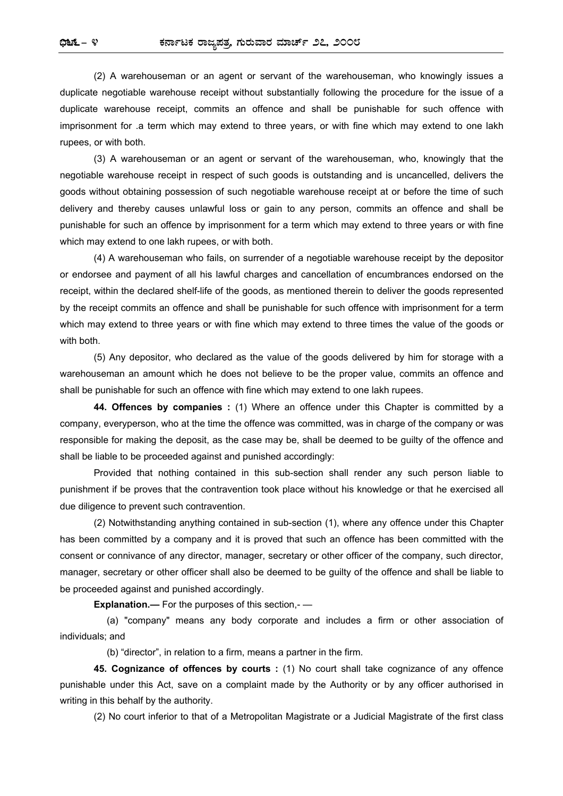(2) A warehouseman or an agent or servant of the warehouseman, who knowingly issues a duplicate negotiable warehouse receipt without substantially following the procedure for the issue of a duplicate warehouse receipt, commits an offence and shall be punishable for such offence with imprisonment for .a term which may extend to three years, or with fine which may extend to one lakh rupees, or with both.

(3) A warehouseman or an agent or servant of the warehouseman, who, knowingly that the negotiable warehouse receipt in respect of such goods is outstanding and is uncancelled, delivers the goods without obtaining possession of such negotiable warehouse receipt at or before the time of such delivery and thereby causes unlawful loss or gain to any person, commits an offence and shall be punishable for such an offence by imprisonment for a term which may extend to three years or with fine which may extend to one lakh rupees, or with both.

(4) A warehouseman who fails, on surrender of a negotiable warehouse receipt by the depositor or endorsee and payment of all his lawful charges and cancellation of encumbrances endorsed on the receipt, within the declared shelf-life of the goods, as mentioned therein to deliver the goods represented by the receipt commits an offence and shall be punishable for such offence with imprisonment for a term which may extend to three years or with fine which may extend to three times the value of the goods or with **both** 

(5) Any depositor, who declared as the value of the goods delivered by him for storage with a warehouseman an amount which he does not believe to be the proper value, commits an offence and shall be punishable for such an offence with fine which may extend to one lakh rupees.

**44. Offences by companies :** (1) Where an offence under this Chapter is committed by a company, everyperson, who at the time the offence was committed, was in charge of the company or was responsible for making the deposit, as the case may be, shall be deemed to be guilty of the offence and shall be liable to be proceeded against and punished accordingly:

Provided that nothing contained in this sub-section shall render any such person liable to punishment if be proves that the contravention took place without his knowledge or that he exercised all due diligence to prevent such contravention.

(2) Notwithstanding anything contained in sub-section (1), where any offence under this Chapter has been committed by a company and it is proved that such an offence has been committed with the consent or connivance of any director, manager, secretary or other officer of the company, such director, manager, secretary or other officer shall also be deemed to be guilty of the offence and shall be liable to be proceeded against and punished accordingly.

**Explanation.—** For the purposes of this section,- —

(a) "company" means any body corporate and includes a firm or other association of individuals; and

(b) "director", in relation to a firm, means a partner in the firm.

**45. Cognizance of offences by courts :** (1) No court shall take cognizance of any offence punishable under this Act, save on a complaint made by the Authority or by any officer authorised in writing in this behalf by the authority.

(2) No court inferior to that of a Metropolitan Magistrate or a Judicial Magistrate of the first class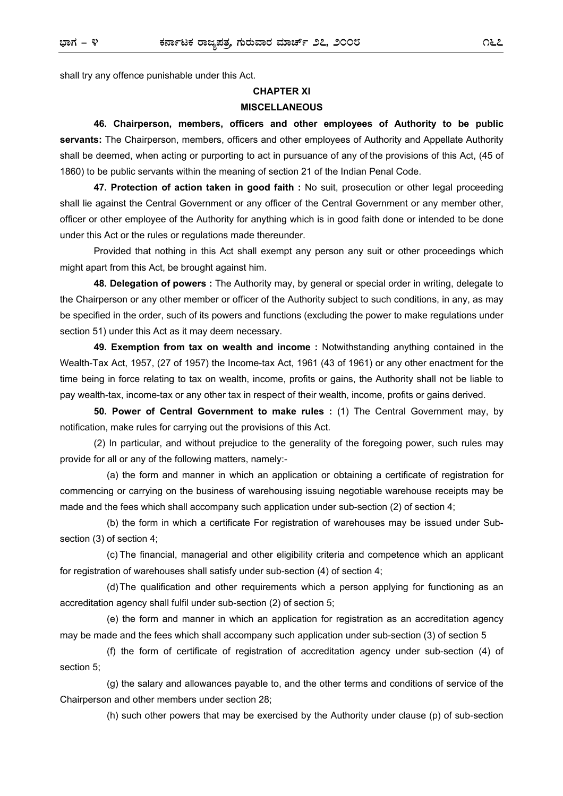shall try any offence punishable under this Act.

## **CHAPTER XI MISCELLANEOUS**

**46. Chairperson, members, officers and other employees of Authority to be public servants:** The Chairperson, members, officers and other employees of Authority and Appellate Authority shall be deemed, when acting or purporting to act in pursuance of any of the provisions of this Act, (45 of 1860) to be public servants within the meaning of section 21 of the Indian Penal Code.

**47. Protection of action taken in good faith :** No suit, prosecution or other legal proceeding shall lie against the Central Government or any officer of the Central Government or any member other, officer or other employee of the Authority for anything which is in good faith done or intended to be done under this Act or the rules or regulations made thereunder.

Provided that nothing in this Act shall exempt any person any suit or other proceedings which might apart from this Act, be brought against him.

**48. Delegation of powers :** The Authority may, by general or special order in writing, delegate to the Chairperson or any other member or officer of the Authority subject to such conditions, in any, as may be specified in the order, such of its powers and functions (excluding the power to make regulations under section 51) under this Act as it may deem necessary.

**49. Exemption from tax on wealth and income :** Notwithstanding anything contained in the Wealth-Tax Act, 1957, (27 of 1957) the Income-tax Act, 1961 (43 of 1961) or any other enactment for the time being in force relating to tax on wealth, income, profits or gains, the Authority shall not be liable to pay wealth-tax, income-tax or any other tax in respect of their wealth, income, profits or gains derived.

**50. Power of Central Government to make rules :** (1) The Central Government may, by notification, make rules for carrying out the provisions of this Act.

(2) In particular, and without prejudice to the generality of the foregoing power, such rules may provide for all or any of the following matters, namely:-

(a) the form and manner in which an application or obtaining a certificate of registration for commencing or carrying on the business of warehousing issuing negotiable warehouse receipts may be made and the fees which shall accompany such application under sub-section (2) of section 4;

(b) the form in which a certificate For registration of warehouses may be issued under Subsection (3) of section 4;

(c) The financial, managerial and other eligibility criteria and competence which an applicant for registration of warehouses shall satisfy under sub-section (4) of section 4;

(d) The qualification and other requirements which a person applying for functioning as an accreditation agency shall fulfil under sub-section (2) of section 5;

(e) the form and manner in which an application for registration as an accreditation agency may be made and the fees which shall accompany such application under sub-section (3) of section 5

(f) the form of certificate of registration of accreditation agency under sub-section (4) of section 5;

(g) the salary and allowances payable to, and the other terms and conditions of service of the Chairperson and other members under section 28;

(h) such other powers that may be exercised by the Authority under clause (p) of sub-section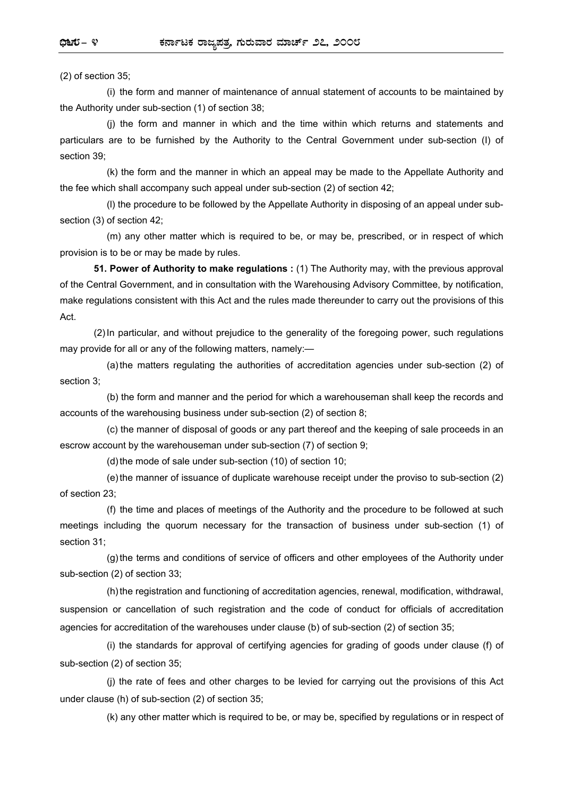(2) of section 35;

(i) the form and manner of maintenance of annual statement of accounts to be maintained by the Authority under sub-section (1) of section 38;

(j) the form and manner in which and the time within which returns and statements and particulars are to be furnished by the Authority to the Central Government under sub-section (I) of section 39;

(k) the form and the manner in which an appeal may be made to the Appellate Authority and the fee which shall accompany such appeal under sub-section (2) of section 42;

(l) the procedure to be followed by the Appellate Authority in disposing of an appeal under subsection (3) of section 42;

(m) any other matter which is required to be, or may be, prescribed, or in respect of which provision is to be or may be made by rules.

**51. Power of Authority to make regulations :** (1) The Authority may, with the previous approval of the Central Government, and in consultation with the Warehousing Advisory Committee, by notification, make regulations consistent with this Act and the rules made thereunder to carry out the provisions of this Act.

(2) In particular, and without prejudice to the generality of the foregoing power, such regulations may provide for all or any of the following matters, namely:—

(a) the matters regulating the authorities of accreditation agencies under sub-section (2) of section 3;

(b) the form and manner and the period for which a warehouseman shall keep the records and accounts of the warehousing business under sub-section (2) of section 8;

(c) the manner of disposal of goods or any part thereof and the keeping of sale proceeds in an escrow account by the warehouseman under sub-section (7) of section 9;

(d) the mode of sale under sub-section (10) of section 10;

(e) the manner of issuance of duplicate warehouse receipt under the proviso to sub-section (2) of section 23;

(f) the time and places of meetings of the Authority and the procedure to be followed at such meetings including the quorum necessary for the transaction of business under sub-section (1) of section 31;

(g) the terms and conditions of service of officers and other employees of the Authority under sub-section (2) of section 33;

(h) the registration and functioning of accreditation agencies, renewal, modification, withdrawal, suspension or cancellation of such registration and the code of conduct for officials of accreditation agencies for accreditation of the warehouses under clause (b) of sub-section (2) of section 35;

(i) the standards for approval of certifying agencies for grading of goods under clause (f) of sub-section (2) of section 35;

(j) the rate of fees and other charges to be levied for carrying out the provisions of this Act under clause (h) of sub-section (2) of section 35;

(k) any other matter which is required to be, or may be, specified by regulations or in respect of